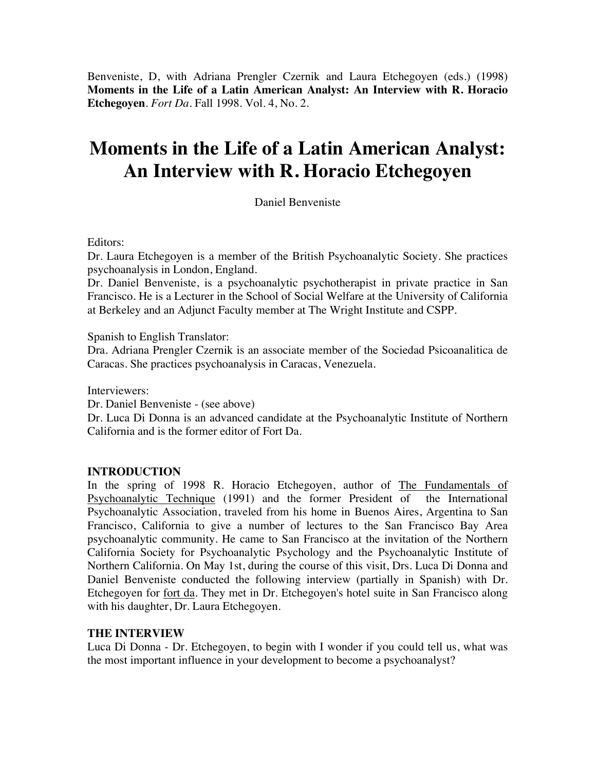Benveniste, D, with Adriana Prengler Czernik and Laura Etchegoyen (eds.) (1998) **Moments in the Life of a Latin American Analyst: An Interview with R. Horacio Etchegoyen**. *Fort Da*. Fall 1998. Vol. 4, No. 2.

## **Moments in the Life of a Latin American Analyst: An Interview with R. Horacio Etchegoyen**

Daniel Benveniste

Editors:

Dr. Laura Etchegoyen is a member of the British Psychoanalytic Society. She practices psychoanalysis in London, England.

Dr. Daniel Benveniste, is a psychoanalytic psychotherapist in private practice in San Francisco. He is a Lecturer in the School of Social Welfare at the University of California at Berkeley and an Adjunct Faculty member at The Wright Institute and CSPP.

Spanish to English Translator:

Dra. Adriana Prengler Czernik is an associate member of the Sociedad Psicoanalitica de Caracas. She practices psychoanalysis in Caracas, Venezuela.

Interviewers:

Dr. Daniel Benveniste - (see above)

Dr. Luca Di Donna is an advanced candidate at the Psychoanalytic Institute of Northern California and is the former editor of Fort Da.

## **INTRODUCTION**

In the spring of 1998 R. Horacio Etchegoyen, author of The Fundamentals of Psychoanalytic Technique (1991) and the former President of the International Psychoanalytic Association, traveled from his home in Buenos Aires, Argentina to San Francisco, California to give a number of lectures to the San Francisco Bay Area psychoanalytic community. He came to San Francisco at the invitation of the Northern California Society for Psychoanalytic Psychology and the Psychoanalytic Institute of Northern California. On May 1st, during the course of this visit, Drs. Luca Di Donna and Daniel Benveniste conducted the following interview (partially in Spanish) with Dr. Etchegoyen for fort da. They met in Dr. Etchegoyen's hotel suite in San Francisco along with his daughter, Dr. Laura Etchegoyen.

## **THE INTERVIEW**

Luca Di Donna - Dr. Etchegoyen, to begin with I wonder if you could tell us, what was the most important influence in your development to become a psychoanalyst?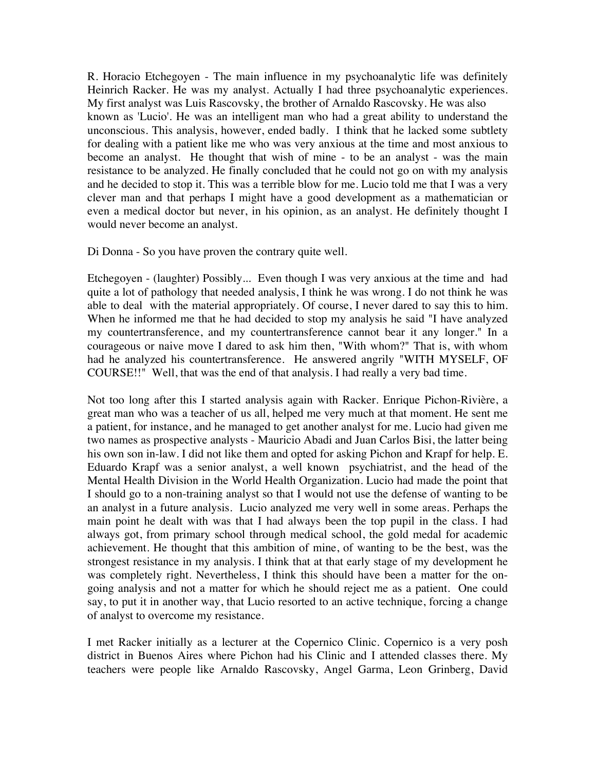R. Horacio Etchegoyen - The main influence in my psychoanalytic life was definitely Heinrich Racker. He was my analyst. Actually I had three psychoanalytic experiences. My first analyst was Luis Rascovsky, the brother of Arnaldo Rascovsky. He was also known as 'Lucio'. He was an intelligent man who had a great ability to understand the unconscious. This analysis, however, ended badly. I think that he lacked some subtlety for dealing with a patient like me who was very anxious at the time and most anxious to become an analyst. He thought that wish of mine - to be an analyst - was the main resistance to be analyzed. He finally concluded that he could not go on with my analysis and he decided to stop it. This was a terrible blow for me. Lucio told me that I was a very clever man and that perhaps I might have a good development as a mathematician or even a medical doctor but never, in his opinion, as an analyst. He definitely thought I would never become an analyst.

Di Donna - So you have proven the contrary quite well.

Etchegoyen - (laughter) Possibly... Even though I was very anxious at the time and had quite a lot of pathology that needed analysis, I think he was wrong. I do not think he was able to deal with the material appropriately. Of course, I never dared to say this to him. When he informed me that he had decided to stop my analysis he said "I have analyzed my countertransference, and my countertransference cannot bear it any longer." In a courageous or naive move I dared to ask him then, "With whom?" That is, with whom had he analyzed his countertransference. He answered angrily "WITH MYSELF, OF COURSE!!" Well, that was the end of that analysis. I had really a very bad time.

Not too long after this I started analysis again with Racker. Enrique Pichon-Rivière, a great man who was a teacher of us all, helped me very much at that moment. He sent me a patient, for instance, and he managed to get another analyst for me. Lucio had given me two names as prospective analysts - Mauricio Abadi and Juan Carlos Bisi, the latter being his own son in-law. I did not like them and opted for asking Pichon and Krapf for help. E. Eduardo Krapf was a senior analyst, a well known psychiatrist, and the head of the Mental Health Division in the World Health Organization. Lucio had made the point that I should go to a non-training analyst so that I would not use the defense of wanting to be an analyst in a future analysis. Lucio analyzed me very well in some areas. Perhaps the main point he dealt with was that I had always been the top pupil in the class. I had always got, from primary school through medical school, the gold medal for academic achievement. He thought that this ambition of mine, of wanting to be the best, was the strongest resistance in my analysis. I think that at that early stage of my development he was completely right. Nevertheless, I think this should have been a matter for the ongoing analysis and not a matter for which he should reject me as a patient. One could say, to put it in another way, that Lucio resorted to an active technique, forcing a change of analyst to overcome my resistance.

I met Racker initially as a lecturer at the Copernico Clinic. Copernico is a very posh district in Buenos Aires where Pichon had his Clinic and I attended classes there. My teachers were people like Arnaldo Rascovsky, Angel Garma, Leon Grinberg, David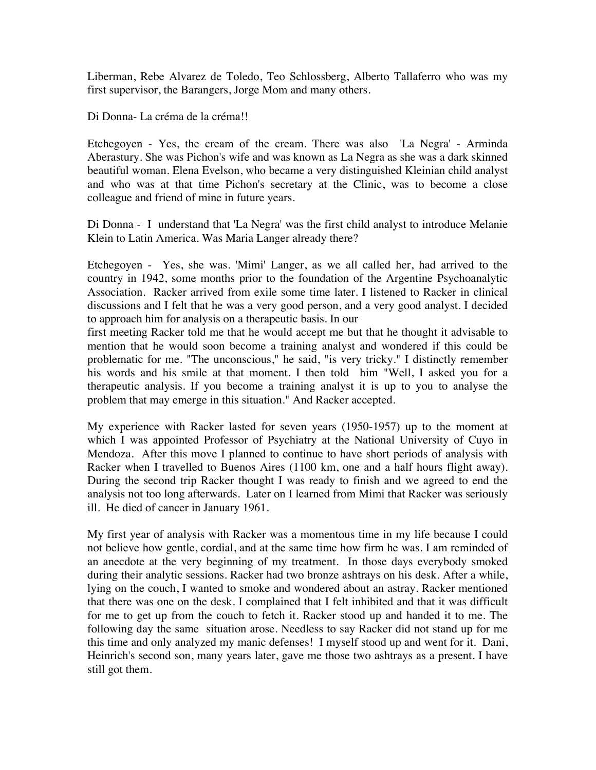Liberman, Rebe Alvarez de Toledo, Teo Schlossberg, Alberto Tallaferro who was my first supervisor, the Barangers, Jorge Mom and many others.

Di Donna- La créma de la créma!!

Etchegoyen - Yes, the cream of the cream. There was also 'La Negra' - Arminda Aberastury. She was Pichon's wife and was known as La Negra as she was a dark skinned beautiful woman. Elena Evelson, who became a very distinguished Kleinian child analyst and who was at that time Pichon's secretary at the Clinic, was to become a close colleague and friend of mine in future years.

Di Donna - I understand that 'La Negra' was the first child analyst to introduce Melanie Klein to Latin America. Was Maria Langer already there?

Etchegoyen - Yes, she was. 'Mimi' Langer, as we all called her, had arrived to the country in 1942, some months prior to the foundation of the Argentine Psychoanalytic Association. Racker arrived from exile some time later. I listened to Racker in clinical discussions and I felt that he was a very good person, and a very good analyst. I decided to approach him for analysis on a therapeutic basis. In our

first meeting Racker told me that he would accept me but that he thought it advisable to mention that he would soon become a training analyst and wondered if this could be problematic for me. "The unconscious," he said, "is very tricky." I distinctly remember his words and his smile at that moment. I then told him "Well, I asked you for a therapeutic analysis. If you become a training analyst it is up to you to analyse the problem that may emerge in this situation." And Racker accepted.

My experience with Racker lasted for seven years (1950-1957) up to the moment at which I was appointed Professor of Psychiatry at the National University of Cuyo in Mendoza. After this move I planned to continue to have short periods of analysis with Racker when I travelled to Buenos Aires (1100 km, one and a half hours flight away). During the second trip Racker thought I was ready to finish and we agreed to end the analysis not too long afterwards. Later on I learned from Mimi that Racker was seriously ill. He died of cancer in January 1961.

My first year of analysis with Racker was a momentous time in my life because I could not believe how gentle, cordial, and at the same time how firm he was. I am reminded of an anecdote at the very beginning of my treatment. In those days everybody smoked during their analytic sessions. Racker had two bronze ashtrays on his desk. After a while, lying on the couch, I wanted to smoke and wondered about an astray. Racker mentioned that there was one on the desk. I complained that I felt inhibited and that it was difficult for me to get up from the couch to fetch it. Racker stood up and handed it to me. The following day the same situation arose. Needless to say Racker did not stand up for me this time and only analyzed my manic defenses! I myself stood up and went for it. Dani, Heinrich's second son, many years later, gave me those two ashtrays as a present. I have still got them.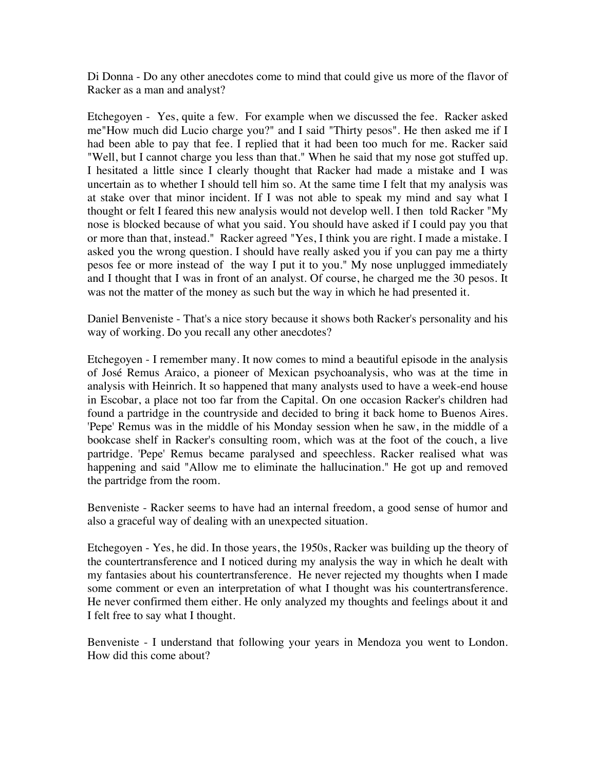Di Donna - Do any other anecdotes come to mind that could give us more of the flavor of Racker as a man and analyst?

Etchegoyen - Yes, quite a few. For example when we discussed the fee. Racker asked me"How much did Lucio charge you?" and I said "Thirty pesos". He then asked me if I had been able to pay that fee. I replied that it had been too much for me. Racker said "Well, but I cannot charge you less than that." When he said that my nose got stuffed up. I hesitated a little since I clearly thought that Racker had made a mistake and I was uncertain as to whether I should tell him so. At the same time I felt that my analysis was at stake over that minor incident. If I was not able to speak my mind and say what I thought or felt I feared this new analysis would not develop well. I then told Racker "My nose is blocked because of what you said. You should have asked if I could pay you that or more than that, instead." Racker agreed "Yes, I think you are right. I made a mistake. I asked you the wrong question. I should have really asked you if you can pay me a thirty pesos fee or more instead of the way I put it to you." My nose unplugged immediately and I thought that I was in front of an analyst. Of course, he charged me the 30 pesos. It was not the matter of the money as such but the way in which he had presented it.

Daniel Benveniste - That's a nice story because it shows both Racker's personality and his way of working. Do you recall any other anecdotes?

Etchegoyen - I remember many. It now comes to mind a beautiful episode in the analysis of José Remus Araico, a pioneer of Mexican psychoanalysis, who was at the time in analysis with Heinrich. It so happened that many analysts used to have a week-end house in Escobar, a place not too far from the Capital. On one occasion Racker's children had found a partridge in the countryside and decided to bring it back home to Buenos Aires. 'Pepe' Remus was in the middle of his Monday session when he saw, in the middle of a bookcase shelf in Racker's consulting room, which was at the foot of the couch, a live partridge. 'Pepe' Remus became paralysed and speechless. Racker realised what was happening and said "Allow me to eliminate the hallucination." He got up and removed the partridge from the room.

Benveniste - Racker seems to have had an internal freedom, a good sense of humor and also a graceful way of dealing with an unexpected situation.

Etchegoyen - Yes, he did. In those years, the 1950s, Racker was building up the theory of the countertransference and I noticed during my analysis the way in which he dealt with my fantasies about his countertransference. He never rejected my thoughts when I made some comment or even an interpretation of what I thought was his countertransference. He never confirmed them either. He only analyzed my thoughts and feelings about it and I felt free to say what I thought.

Benveniste - I understand that following your years in Mendoza you went to London. How did this come about?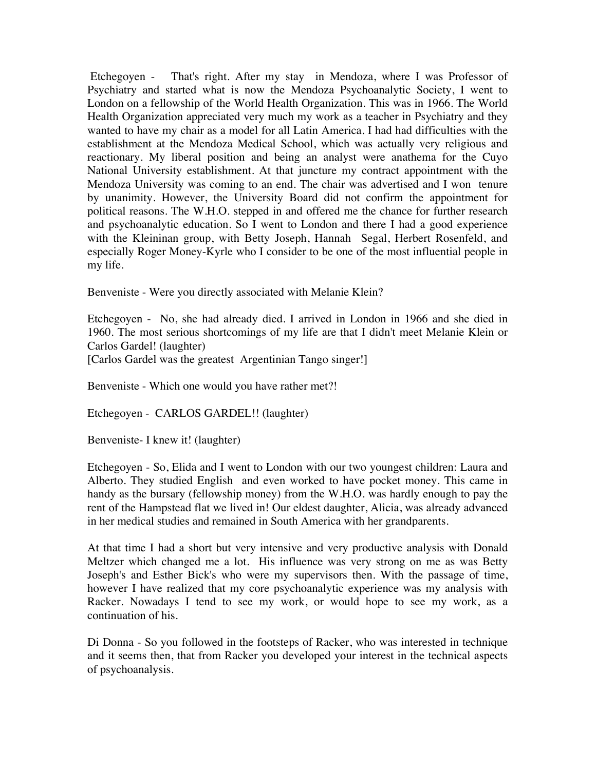Etchegoyen - That's right. After my stay in Mendoza, where I was Professor of Psychiatry and started what is now the Mendoza Psychoanalytic Society, I went to London on a fellowship of the World Health Organization. This was in 1966. The World Health Organization appreciated very much my work as a teacher in Psychiatry and they wanted to have my chair as a model for all Latin America. I had had difficulties with the establishment at the Mendoza Medical School, which was actually very religious and reactionary. My liberal position and being an analyst were anathema for the Cuyo National University establishment. At that juncture my contract appointment with the Mendoza University was coming to an end. The chair was advertised and I won tenure by unanimity. However, the University Board did not confirm the appointment for political reasons. The W.H.O. stepped in and offered me the chance for further research and psychoanalytic education. So I went to London and there I had a good experience with the Kleininan group, with Betty Joseph, Hannah Segal, Herbert Rosenfeld, and especially Roger Money-Kyrle who I consider to be one of the most influential people in my life.

Benveniste - Were you directly associated with Melanie Klein?

Etchegoyen - No, she had already died. I arrived in London in 1966 and she died in 1960. The most serious shortcomings of my life are that I didn't meet Melanie Klein or Carlos Gardel! (laughter)

[Carlos Gardel was the greatest Argentinian Tango singer!]

Benveniste - Which one would you have rather met?!

Etchegoyen - CARLOS GARDEL!! (laughter)

Benveniste- I knew it! (laughter)

Etchegoyen - So, Elida and I went to London with our two youngest children: Laura and Alberto. They studied English and even worked to have pocket money. This came in handy as the bursary (fellowship money) from the W.H.O. was hardly enough to pay the rent of the Hampstead flat we lived in! Our eldest daughter, Alicia, was already advanced in her medical studies and remained in South America with her grandparents.

At that time I had a short but very intensive and very productive analysis with Donald Meltzer which changed me a lot. His influence was very strong on me as was Betty Joseph's and Esther Bick's who were my supervisors then. With the passage of time, however I have realized that my core psychoanalytic experience was my analysis with Racker. Nowadays I tend to see my work, or would hope to see my work, as a continuation of his.

Di Donna - So you followed in the footsteps of Racker, who was interested in technique and it seems then, that from Racker you developed your interest in the technical aspects of psychoanalysis.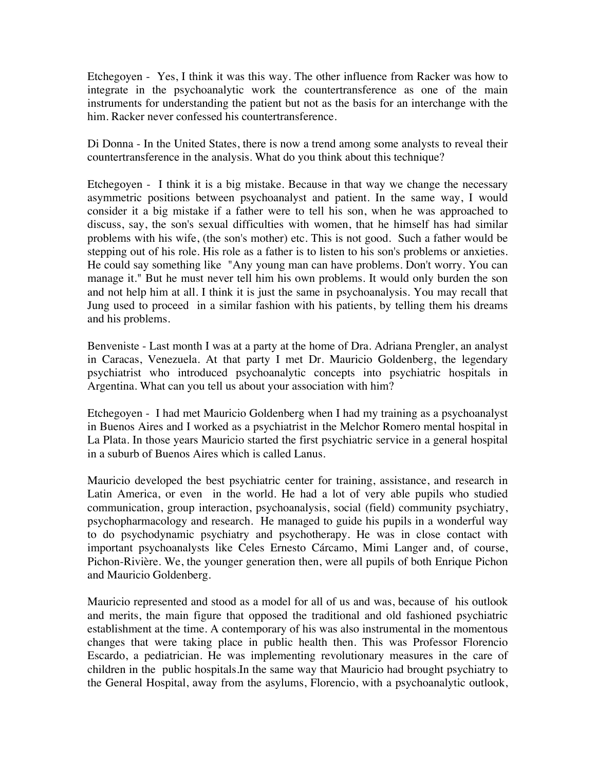Etchegoyen - Yes, I think it was this way. The other influence from Racker was how to integrate in the psychoanalytic work the countertransference as one of the main instruments for understanding the patient but not as the basis for an interchange with the him. Racker never confessed his countertransference.

Di Donna - In the United States, there is now a trend among some analysts to reveal their countertransference in the analysis. What do you think about this technique?

Etchegoyen - I think it is a big mistake. Because in that way we change the necessary asymmetric positions between psychoanalyst and patient. In the same way, I would consider it a big mistake if a father were to tell his son, when he was approached to discuss, say, the son's sexual difficulties with women, that he himself has had similar problems with his wife, (the son's mother) etc. This is not good. Such a father would be stepping out of his role. His role as a father is to listen to his son's problems or anxieties. He could say something like "Any young man can have problems. Don't worry. You can manage it." But he must never tell him his own problems. It would only burden the son and not help him at all. I think it is just the same in psychoanalysis. You may recall that Jung used to proceed in a similar fashion with his patients, by telling them his dreams and his problems.

Benveniste - Last month I was at a party at the home of Dra. Adriana Prengler, an analyst in Caracas, Venezuela. At that party I met Dr. Mauricio Goldenberg, the legendary psychiatrist who introduced psychoanalytic concepts into psychiatric hospitals in Argentina. What can you tell us about your association with him?

Etchegoyen - I had met Mauricio Goldenberg when I had my training as a psychoanalyst in Buenos Aires and I worked as a psychiatrist in the Melchor Romero mental hospital in La Plata. In those years Mauricio started the first psychiatric service in a general hospital in a suburb of Buenos Aires which is called Lanus.

Mauricio developed the best psychiatric center for training, assistance, and research in Latin America, or even in the world. He had a lot of very able pupils who studied communication, group interaction, psychoanalysis, social (field) community psychiatry, psychopharmacology and research. He managed to guide his pupils in a wonderful way to do psychodynamic psychiatry and psychotherapy. He was in close contact with important psychoanalysts like Celes Ernesto Cárcamo, Mimi Langer and, of course, Pichon-Rivière. We, the younger generation then, were all pupils of both Enrique Pichon and Mauricio Goldenberg.

Mauricio represented and stood as a model for all of us and was, because of his outlook and merits, the main figure that opposed the traditional and old fashioned psychiatric establishment at the time. A contemporary of his was also instrumental in the momentous changes that were taking place in public health then. This was Professor Florencio Escardo, a pediatrician. He was implementing revolutionary measures in the care of children in the public hospitals.In the same way that Mauricio had brought psychiatry to the General Hospital, away from the asylums, Florencio, with a psychoanalytic outlook,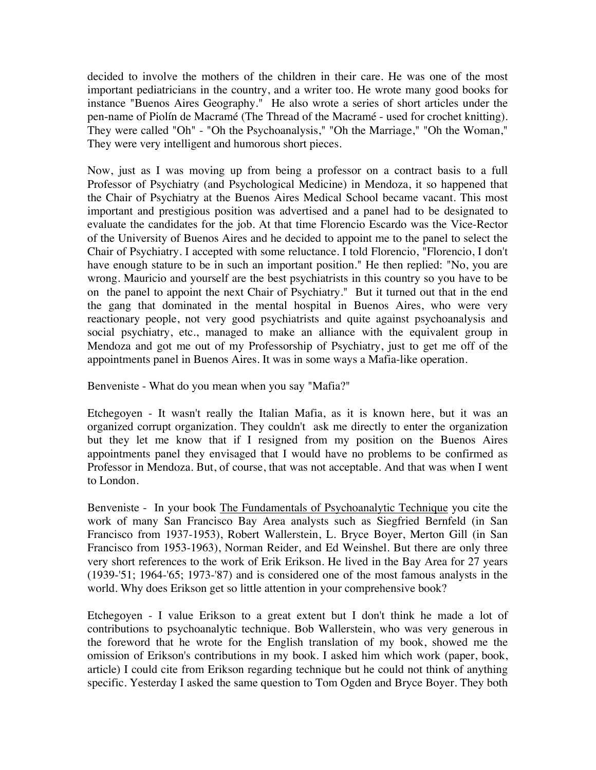decided to involve the mothers of the children in their care. He was one of the most important pediatricians in the country, and a writer too. He wrote many good books for instance "Buenos Aires Geography." He also wrote a series of short articles under the pen-name of Piolín de Macramé (The Thread of the Macramé - used for crochet knitting). They were called "Oh" - "Oh the Psychoanalysis," "Oh the Marriage," "Oh the Woman," They were very intelligent and humorous short pieces.

Now, just as I was moving up from being a professor on a contract basis to a full Professor of Psychiatry (and Psychological Medicine) in Mendoza, it so happened that the Chair of Psychiatry at the Buenos Aires Medical School became vacant. This most important and prestigious position was advertised and a panel had to be designated to evaluate the candidates for the job. At that time Florencio Escardo was the Vice-Rector of the University of Buenos Aires and he decided to appoint me to the panel to select the Chair of Psychiatry. I accepted with some reluctance. I told Florencio, "Florencio, I don't have enough stature to be in such an important position." He then replied: "No, you are wrong. Mauricio and yourself are the best psychiatrists in this country so you have to be on the panel to appoint the next Chair of Psychiatry." But it turned out that in the end the gang that dominated in the mental hospital in Buenos Aires, who were very reactionary people, not very good psychiatrists and quite against psychoanalysis and social psychiatry, etc., managed to make an alliance with the equivalent group in Mendoza and got me out of my Professorship of Psychiatry, just to get me off of the appointments panel in Buenos Aires. It was in some ways a Mafia-like operation.

Benveniste - What do you mean when you say "Mafia?"

Etchegoyen - It wasn't really the Italian Mafia, as it is known here, but it was an organized corrupt organization. They couldn't ask me directly to enter the organization but they let me know that if I resigned from my position on the Buenos Aires appointments panel they envisaged that I would have no problems to be confirmed as Professor in Mendoza. But, of course, that was not acceptable. And that was when I went to London.

Benveniste - In your book The Fundamentals of Psychoanalytic Technique you cite the work of many San Francisco Bay Area analysts such as Siegfried Bernfeld (in San Francisco from 1937-1953), Robert Wallerstein, L. Bryce Boyer, Merton Gill (in San Francisco from 1953-1963), Norman Reider, and Ed Weinshel. But there are only three very short references to the work of Erik Erikson. He lived in the Bay Area for 27 years (1939-'51; 1964-'65; 1973-'87) and is considered one of the most famous analysts in the world. Why does Erikson get so little attention in your comprehensive book?

Etchegoyen - I value Erikson to a great extent but I don't think he made a lot of contributions to psychoanalytic technique. Bob Wallerstein, who was very generous in the foreword that he wrote for the English translation of my book, showed me the omission of Erikson's contributions in my book. I asked him which work (paper, book, article) I could cite from Erikson regarding technique but he could not think of anything specific. Yesterday I asked the same question to Tom Ogden and Bryce Boyer. They both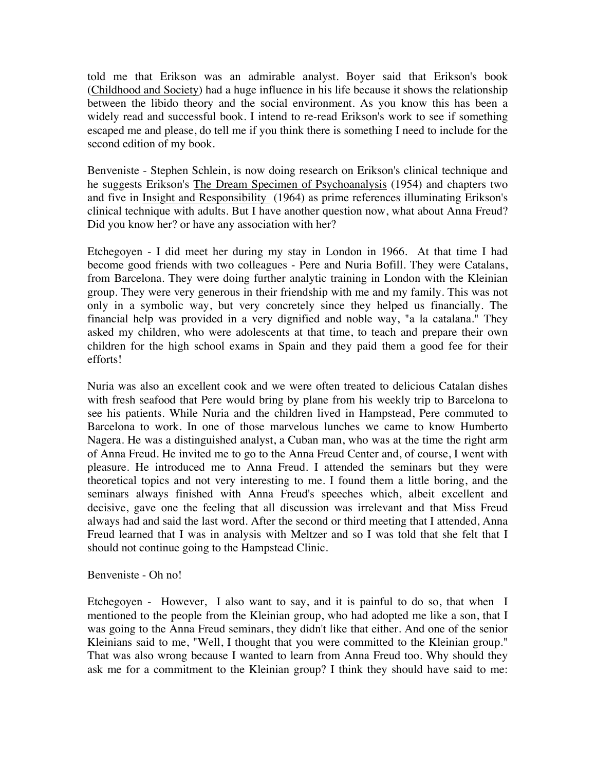told me that Erikson was an admirable analyst. Boyer said that Erikson's book (Childhood and Society) had a huge influence in his life because it shows the relationship between the libido theory and the social environment. As you know this has been a widely read and successful book. I intend to re-read Erikson's work to see if something escaped me and please, do tell me if you think there is something I need to include for the second edition of my book.

Benveniste - Stephen Schlein, is now doing research on Erikson's clinical technique and he suggests Erikson's The Dream Specimen of Psychoanalysis (1954) and chapters two and five in Insight and Responsibility (1964) as prime references illuminating Erikson's clinical technique with adults. But I have another question now, what about Anna Freud? Did you know her? or have any association with her?

Etchegoyen - I did meet her during my stay in London in 1966. At that time I had become good friends with two colleagues - Pere and Nuria Bofill. They were Catalans, from Barcelona. They were doing further analytic training in London with the Kleinian group. They were very generous in their friendship with me and my family. This was not only in a symbolic way, but very concretely since they helped us financially. The financial help was provided in a very dignified and noble way, "a la catalana." They asked my children, who were adolescents at that time, to teach and prepare their own children for the high school exams in Spain and they paid them a good fee for their efforts!

Nuria was also an excellent cook and we were often treated to delicious Catalan dishes with fresh seafood that Pere would bring by plane from his weekly trip to Barcelona to see his patients. While Nuria and the children lived in Hampstead, Pere commuted to Barcelona to work. In one of those marvelous lunches we came to know Humberto Nagera. He was a distinguished analyst, a Cuban man, who was at the time the right arm of Anna Freud. He invited me to go to the Anna Freud Center and, of course, I went with pleasure. He introduced me to Anna Freud. I attended the seminars but they were theoretical topics and not very interesting to me. I found them a little boring, and the seminars always finished with Anna Freud's speeches which, albeit excellent and decisive, gave one the feeling that all discussion was irrelevant and that Miss Freud always had and said the last word. After the second or third meeting that I attended, Anna Freud learned that I was in analysis with Meltzer and so I was told that she felt that I should not continue going to the Hampstead Clinic.

Benveniste - Oh no!

Etchegoyen - However, I also want to say, and it is painful to do so, that when I mentioned to the people from the Kleinian group, who had adopted me like a son, that I was going to the Anna Freud seminars, they didn't like that either. And one of the senior Kleinians said to me, "Well, I thought that you were committed to the Kleinian group." That was also wrong because I wanted to learn from Anna Freud too. Why should they ask me for a commitment to the Kleinian group? I think they should have said to me: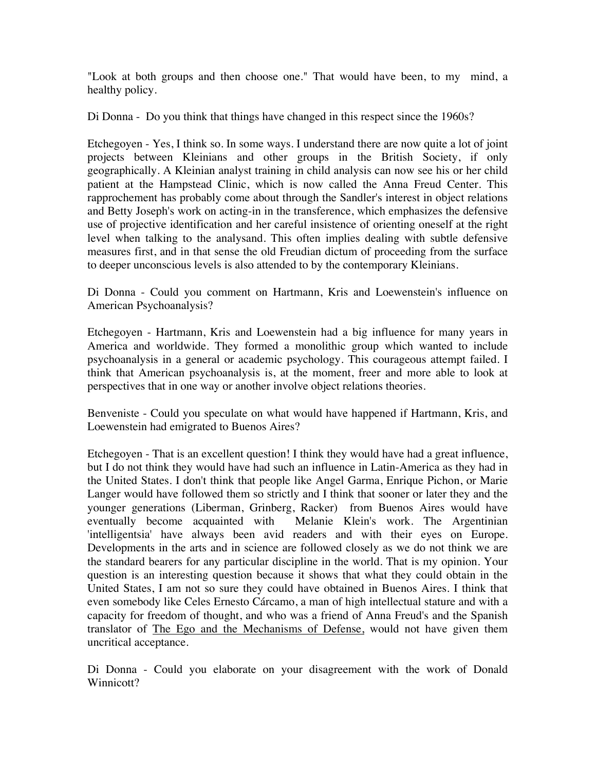"Look at both groups and then choose one." That would have been, to my mind, a healthy policy.

Di Donna - Do you think that things have changed in this respect since the 1960s?

Etchegoyen - Yes, I think so. In some ways. I understand there are now quite a lot of joint projects between Kleinians and other groups in the British Society, if only geographically. A Kleinian analyst training in child analysis can now see his or her child patient at the Hampstead Clinic, which is now called the Anna Freud Center. This rapprochement has probably come about through the Sandler's interest in object relations and Betty Joseph's work on acting-in in the transference, which emphasizes the defensive use of projective identification and her careful insistence of orienting oneself at the right level when talking to the analysand. This often implies dealing with subtle defensive measures first, and in that sense the old Freudian dictum of proceeding from the surface to deeper unconscious levels is also attended to by the contemporary Kleinians.

Di Donna - Could you comment on Hartmann, Kris and Loewenstein's influence on American Psychoanalysis?

Etchegoyen - Hartmann, Kris and Loewenstein had a big influence for many years in America and worldwide. They formed a monolithic group which wanted to include psychoanalysis in a general or academic psychology. This courageous attempt failed. I think that American psychoanalysis is, at the moment, freer and more able to look at perspectives that in one way or another involve object relations theories.

Benveniste - Could you speculate on what would have happened if Hartmann, Kris, and Loewenstein had emigrated to Buenos Aires?

Etchegoyen - That is an excellent question! I think they would have had a great influence, but I do not think they would have had such an influence in Latin-America as they had in the United States. I don't think that people like Angel Garma, Enrique Pichon, or Marie Langer would have followed them so strictly and I think that sooner or later they and the younger generations (Liberman, Grinberg, Racker) from Buenos Aires would have eventually become acquainted with Melanie Klein's work. The Argentinian 'intelligentsia' have always been avid readers and with their eyes on Europe. Developments in the arts and in science are followed closely as we do not think we are the standard bearers for any particular discipline in the world. That is my opinion. Your question is an interesting question because it shows that what they could obtain in the United States, I am not so sure they could have obtained in Buenos Aires. I think that even somebody like Celes Ernesto Cárcamo, a man of high intellectual stature and with a capacity for freedom of thought, and who was a friend of Anna Freud's and the Spanish translator of The Ego and the Mechanisms of Defense, would not have given them uncritical acceptance.

Di Donna - Could you elaborate on your disagreement with the work of Donald Winnicott?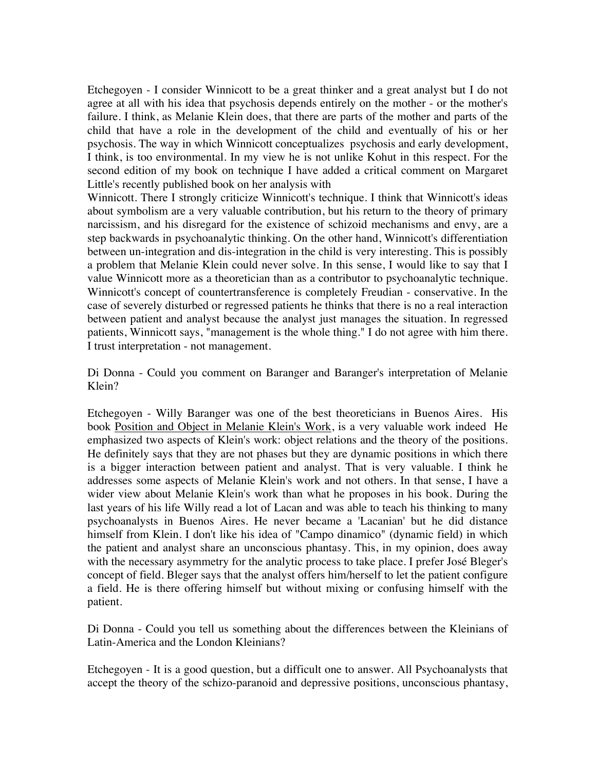Etchegoyen - I consider Winnicott to be a great thinker and a great analyst but I do not agree at all with his idea that psychosis depends entirely on the mother - or the mother's failure. I think, as Melanie Klein does, that there are parts of the mother and parts of the child that have a role in the development of the child and eventually of his or her psychosis. The way in which Winnicott conceptualizes psychosis and early development, I think, is too environmental. In my view he is not unlike Kohut in this respect. For the second edition of my book on technique I have added a critical comment on Margaret Little's recently published book on her analysis with

Winnicott. There I strongly criticize Winnicott's technique. I think that Winnicott's ideas about symbolism are a very valuable contribution, but his return to the theory of primary narcissism, and his disregard for the existence of schizoid mechanisms and envy, are a step backwards in psychoanalytic thinking. On the other hand, Winnicott's differentiation between un-integration and dis-integration in the child is very interesting. This is possibly a problem that Melanie Klein could never solve. In this sense, I would like to say that I value Winnicott more as a theoretician than as a contributor to psychoanalytic technique. Winnicott's concept of countertransference is completely Freudian - conservative. In the case of severely disturbed or regressed patients he thinks that there is no a real interaction between patient and analyst because the analyst just manages the situation. In regressed patients, Winnicott says, "management is the whole thing." I do not agree with him there. I trust interpretation - not management.

Di Donna - Could you comment on Baranger and Baranger's interpretation of Melanie Klein?

Etchegoyen - Willy Baranger was one of the best theoreticians in Buenos Aires. His book Position and Object in Melanie Klein's Work, is a very valuable work indeed He emphasized two aspects of Klein's work: object relations and the theory of the positions. He definitely says that they are not phases but they are dynamic positions in which there is a bigger interaction between patient and analyst. That is very valuable. I think he addresses some aspects of Melanie Klein's work and not others. In that sense, I have a wider view about Melanie Klein's work than what he proposes in his book. During the last years of his life Willy read a lot of Lacan and was able to teach his thinking to many psychoanalysts in Buenos Aires. He never became a 'Lacanian' but he did distance himself from Klein. I don't like his idea of "Campo dinamico" (dynamic field) in which the patient and analyst share an unconscious phantasy. This, in my opinion, does away with the necessary asymmetry for the analytic process to take place. I prefer José Bleger's concept of field. Bleger says that the analyst offers him/herself to let the patient configure a field. He is there offering himself but without mixing or confusing himself with the patient.

Di Donna - Could you tell us something about the differences between the Kleinians of Latin-America and the London Kleinians?

Etchegoyen - It is a good question, but a difficult one to answer. All Psychoanalysts that accept the theory of the schizo-paranoid and depressive positions, unconscious phantasy,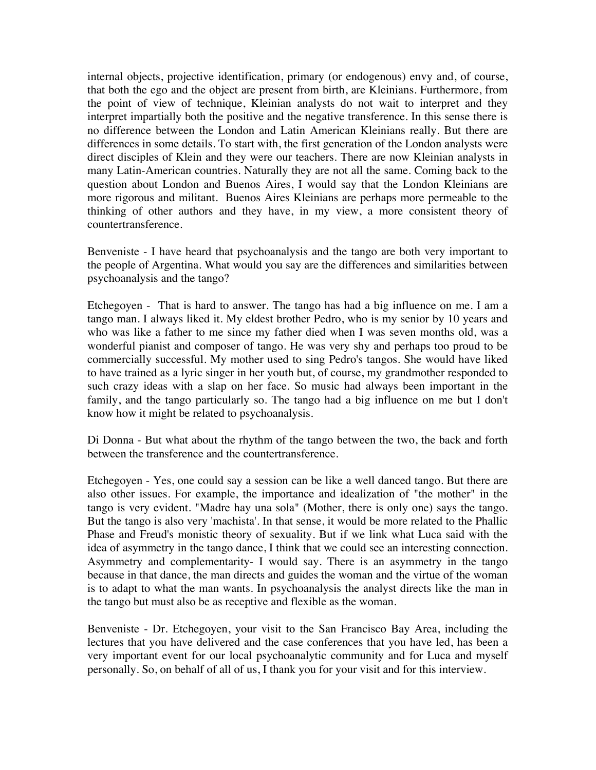internal objects, projective identification, primary (or endogenous) envy and, of course, that both the ego and the object are present from birth, are Kleinians. Furthermore, from the point of view of technique, Kleinian analysts do not wait to interpret and they interpret impartially both the positive and the negative transference. In this sense there is no difference between the London and Latin American Kleinians really. But there are differences in some details. To start with, the first generation of the London analysts were direct disciples of Klein and they were our teachers. There are now Kleinian analysts in many Latin-American countries. Naturally they are not all the same. Coming back to the question about London and Buenos Aires, I would say that the London Kleinians are more rigorous and militant. Buenos Aires Kleinians are perhaps more permeable to the thinking of other authors and they have, in my view, a more consistent theory of countertransference.

Benveniste - I have heard that psychoanalysis and the tango are both very important to the people of Argentina. What would you say are the differences and similarities between psychoanalysis and the tango?

Etchegoyen - That is hard to answer. The tango has had a big influence on me. I am a tango man. I always liked it. My eldest brother Pedro, who is my senior by 10 years and who was like a father to me since my father died when I was seven months old, was a wonderful pianist and composer of tango. He was very shy and perhaps too proud to be commercially successful. My mother used to sing Pedro's tangos. She would have liked to have trained as a lyric singer in her youth but, of course, my grandmother responded to such crazy ideas with a slap on her face. So music had always been important in the family, and the tango particularly so. The tango had a big influence on me but I don't know how it might be related to psychoanalysis.

Di Donna - But what about the rhythm of the tango between the two, the back and forth between the transference and the countertransference.

Etchegoyen - Yes, one could say a session can be like a well danced tango. But there are also other issues. For example, the importance and idealization of "the mother" in the tango is very evident. "Madre hay una sola" (Mother, there is only one) says the tango. But the tango is also very 'machista'. In that sense, it would be more related to the Phallic Phase and Freud's monistic theory of sexuality. But if we link what Luca said with the idea of asymmetry in the tango dance, I think that we could see an interesting connection. Asymmetry and complementarity- I would say. There is an asymmetry in the tango because in that dance, the man directs and guides the woman and the virtue of the woman is to adapt to what the man wants. In psychoanalysis the analyst directs like the man in the tango but must also be as receptive and flexible as the woman.

Benveniste - Dr. Etchegoyen, your visit to the San Francisco Bay Area, including the lectures that you have delivered and the case conferences that you have led, has been a very important event for our local psychoanalytic community and for Luca and myself personally. So, on behalf of all of us, I thank you for your visit and for this interview.